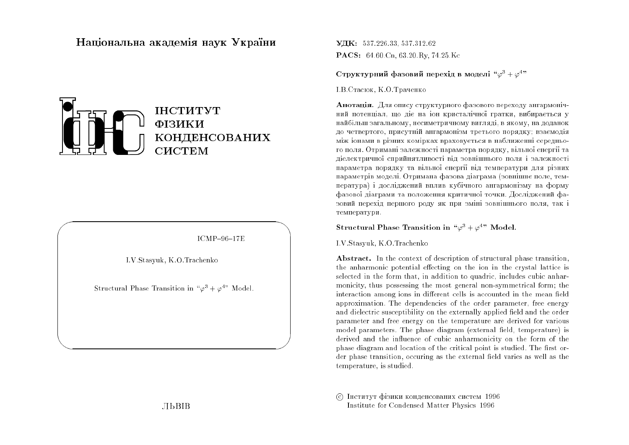# Національна академія наук Україн<mark>и</mark>



 $ICMP-96-17E$ 

 $\bigwedge$ 

 $\bigcup$ 

I.V.Stasyuk, K.O.Trachenko

 $\bigg($ 

&

Structural Phase Transition in " $\varphi^3 + \varphi^{4}$ " Model.

 $\mathbf{V}\mathbf{H}\mathbf{K}: \ \ 537.226.33, \ 537.312.62$  $\mathbf{PACS:}\quad 64.60.\rm{Cn},\, 63.20.\rm{Ry},\, 74.25.\rm{Kc}$ 

## ${\bf C}$ труктурний фазовий перехід в моделі " $\varphi^3 + \varphi^{4,\!n}$

I.B.Стасюк, К.О.Траченко

**Анотація.** Для опису структурного фазового переходу ангармонічний потенціал, що діє на іон кристалічної гратки, вибирається у найбільш загальному, несиметричному вигляді, в якому, на доданок до четвертого, присутній ангармонізм третього порядку; взаємодія між іонами в різних комірках враховується в наближенні середнього поля. Отримані залежності параметра порядку, вільної енергії та діелектричної сприйнятливості від зовнішнього поля і залежності<br>параметра порядку та вільної енергії від температури для різних параметрів моделі. Отримана фазова діаграма (зовнішнє поле, температура) і досліджений вплив кубічного ангармонізму на форму фазової діаграми та положення критичної точки. Досліджений фазовий перехід першого роду як при зміні зовнішнього поля, так і температури.

## Structural Phase Transition in " $\varphi^3 + \varphi^{4}$ " Model.

I.V.Stasyuk, K.O.Trachenko

Abstract. In the context of description of structural <sup>p</sup>hase transition, the anharmonic potential effecting on the ion in the crystal lattice is selected in the form that, in addition to quadric, includes cubic anharmonicity, thus possessing the most genera<sup>l</sup> non-symmetrical form; the  $\,$  interaction among ions in different cells is accounted in the mean field  $\,$ approximation. The dependencies of the order parameter, free energyand dielectric susceptibility on the externally applied field and the order parameter and free energy on the temperature are derived for various model parameters. The phase diagram (external field, temperature) is derived and the influence of cubic anharmonicity on the form of the<br>ukes diagram and leasting of the spitial point is studied. The fast on phase diagram and location of the critical point is studied. The first order phase transition, occuring as the external field varies as well as the temperature, is studied.

© Інститут фізики конденсованих систем 1996 Institute for Condensed Matter Physics <sup>1996</sup>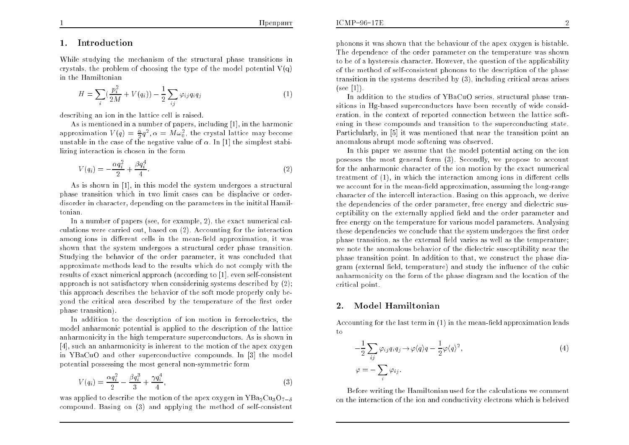## 1. Introduction

While studying the mechanism of the structural phase transitions in<br>existely the problem of shaping the time of the model potential  $V(x)$ crystals, the problem of choosing the type of the model potential  $\mathrm{V}(\mathrm{q})$ in the Hamiltonian

$$
H = \sum_{i} \left( \frac{p_i^2}{2M} + V(q_i) \right) - \frac{1}{2} \sum_{ij} \varphi_{ij} q_i q_j \tag{1}
$$

describing an ion in the lattice cell is raised.

 As is mentioned in <sup>a</sup> number of papers, including [1], in the harmonicapproximation  $V(q) = \frac{\alpha}{2}q^2, \alpha = M\omega_0^2$ , the crystal lattice may become unstable in the case of the negative value of  $\alpha$  . In [1] the simplest stabilizing interaction is chosen in the form

$$
V(q_i) = -\frac{\alpha q_i^2}{2} + \frac{\beta q_i^4}{4}.
$$
\n(2)

As is shown in [1], in this model the system undergoes <sup>a</sup> structural phase transition which in two limit cases can be displacive or orderdisorder in character, depending on the parameters in the initital Hamiltonian.

In <sup>a</sup> number of papers (see, for example, 2), the exact numerical calculations were carried out, based on (2). Accounting for the interaction $\emph{among ions in different cells in the mean-field approximation, it was}$ shown that the system undergoes a structural order phase transition. Studying the behavior of the order parameter, it was concluded that approximate methods lead to the results which do not comply with the results of exact nimerical approac<sup>h</sup> (according to [1], even self-consistentapproach is not satisfactory when considerinig systems described by  $\left( 2\right) ;$ this approach describes the behavior of the soft mode properly only beyond the critical area described by the temperature of the first order <sup>p</sup>hase transition).

In addition to the description of ion motion in ferroelectrics, the model anharmonic potential is applied to the description of the lattice anharmonicity in the high temperature superconductors. As is shown in [4], such an anharmonicity is inherent to the motion of the apex oxygen in YBaCuO and other superconductive compounds. In [3] the model potential possessing the most general non-symmetric form

$$
V(q_i) = \frac{\alpha q_i^2}{2} - \frac{\beta q_i^3}{3} + \frac{\gamma q_i^4}{4},\tag{3}
$$

was applied to describe the motion of the apex oxygen in  $YBa<sub>2</sub>Cu<sub>3</sub>O<sub>7-\delta</sub>$ compound. Basing on (3) and applying the method of self-consistent

<sup>p</sup>honons it was shown that the behaviour of the apex oxygen is bistable. The dependence of the order parameter on the temperature was shown to be of <sup>a</sup> hysteresis character. However, the question of the applicability of the method of self-consistent phonons to the description of the phase transition in the systems described by (3), including critical areas arises $(see [1])$ 

 In addition to the studies of YBaCuO series, structural phase transitions in Hg-based superconductors have been recently of wide consid eration, in the context of reported connection bet ween the lattice softening in these compounds and transition to the superconducting state. Particlularly, in [5] it was mentioned that near the transition point ananomalous abrupt mode softening was observed.

In this paper we assume that the model potential acting on the ionposesses the most general form  $(3)$ . Secondly, we propose to account for the anharmonic character of the ion motion by the exact numerical  $t$ reatment of  $(1)$ , in which the interaction among ions in different cells we account for in the mean-field approximation, assuming the long-range character of the intercell interaction. Basing on this approach, we derive the dependencies of the order parameter, free energy and dielectric susceptibility on the externally applied field and the order parameter and free energy on the temperature for various model parameters. Analysingthese dependencies we conclude that the system undergoes the first order phase transition, as the external field varies as well as the temperature; we note the anomalous behavior of the dielectric susceptibility near the phase transition point. In addition to that, we construct the phase diagram (external field, temperature) and study the influence of the cubic anharmonicity on the form of the <sup>p</sup>hase diagram and the location of thecritical point.

#### 2.Model Hamiltonian

Accounting for the last term in  $(1)$  in the mean-field approximation leads to

$$
-\frac{1}{2}\sum_{ij}\varphi_{ij}q_iq_j \to \varphi \langle q \rangle q - \frac{1}{2}\varphi \langle q \rangle^2,
$$
  

$$
\varphi = -\sum_{i}\varphi_{ij}.
$$
 (4)

Before writing the Hamiltonian used for the calculations we commenton the interaction of the ion and conductivity electrons which is beleived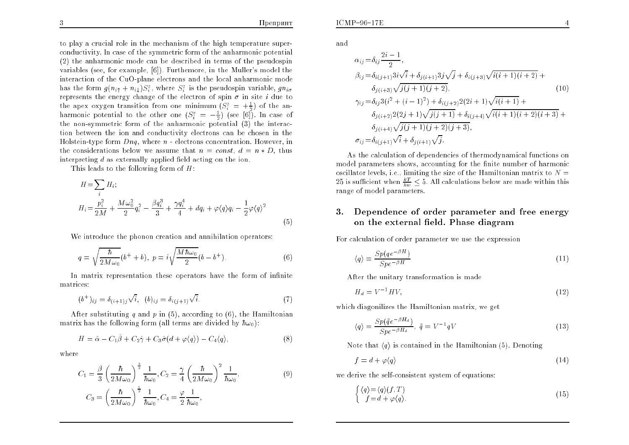to <sup>p</sup>lay <sup>a</sup> crucial role in the mechanism of the high temperature superconductivity. In case of the symmetric form of the anharmonic potential (2) the anharmonic mode can be described in terms of the pseudospin variables (see, for example, [6]). Furthemore, in the Muller's model the interaction of the CuO-plane electrons and the local anharmonic modehas the form  $g(n_i + n_i)S_i^z$ , where  $S_i^z$  is the pseudospin variable,  $g n_i$ represents the energy change of the electron of spin  $\sigma$  in site *i* due to the apex oxygen transition from one minimum  $(S_i^z = +\frac{1}{2})$  of the anharmonic potential to the other one  $(S_i^z = -\frac{1}{2})$  (see [6]). In case of the non-symmetric form of the anharmonic potential (3) the interac-<br>tion between the ion and conductivity electrons and he shoesn in the tion bet ween the ion and conductivit y electrons can be chosen in the Holstein-type form  $Dnq$ , where  $n$  - electrons concentration. However, in<br>the considerations helow we convert het number of the stable three the considerations below we assume that  $n = const$ ,  $d = n * D$ , thus interpreting  $d$  as externally applied field acting on the ion.

This leads to the following form of  $H$ :

$$
H = \sum_{i} H_{i};
$$
  
\n
$$
H_{i} = \frac{p_{i}^{2}}{2M} + \frac{M\omega_{0}^{2}}{2}q_{i}^{2} - \frac{\beta q_{i}^{3}}{3} + \frac{\gamma q_{i}^{4}}{4} + dq_{i} + \varphi \langle q \rangle q_{i} - \frac{1}{2}\varphi \langle q \rangle^{2}
$$
\n(5)

We introduce the phonon creation and annihilation operators:

$$
q = \sqrt{\frac{\hbar}{2M\omega_0}}(b^+ + b), \ p = i\sqrt{\frac{M\hbar\omega_0}{2}}(b - b^+).
$$
 (6)

In matrix representation these operators have the form of infinite  $t_{\rm{miss}}$ matrices:

$$
(b^+)_{ij} = \delta_{(i+1)j}\sqrt{i}, \quad (b)_{ij} = \delta_{i(j+1)}\sqrt{i}.\tag{7}
$$

After substituting  $q$  and  $p$  in (5), according to (6), the Hamiltonian matrix has the following form (all terms are divided by  $\hbar\omega_0$ ):

$$
H = \hat{\alpha} - C_1 \hat{\beta} + C_2 \hat{\gamma} + C_3 \hat{\sigma} (d + \varphi \langle q \rangle) - C_4 \langle q \rangle, \tag{8}
$$

where

$$
C_1 = \frac{\beta}{3} \left( \frac{\hbar}{2M\omega_0} \right)^{\frac{3}{2}} \frac{1}{\hbar\omega_0}, C_2 = \frac{\gamma}{4} \left( \frac{\hbar}{2M\omega_0} \right)^2 \frac{1}{\hbar\omega_0},
$$
  
\n
$$
C_3 = \left( \frac{\hbar}{2M\omega_0} \right)^{\frac{1}{2}} \frac{1}{\hbar\omega_0}, C_4 = \frac{\varphi}{2} \frac{1}{\hbar\omega_0},
$$
\n(9)

and

$$
\alpha_{ij} = \delta_{ij} \frac{2i - 1}{2},
$$
\n
$$
\beta_{ij} = \delta_{i(j+1)} 3i\sqrt{i} + \delta_{j(i+1)} 3j\sqrt{j} + \delta_{i(j+3)} \sqrt{i(i+1)(i+2)} +
$$
\n
$$
\delta_{j(i+3)} \sqrt{j(j+1)(j+2)},
$$
\n
$$
\gamma_{ij} = \delta_{ij} 3(i^2 + (i-1)^2) + \delta_{i(j+2)} 2(2i+1) \sqrt{i(i+1)} +
$$
\n
$$
\delta_{j(i+2)} 2(2j+1) \sqrt{j(j+1)} + \delta_{i(j+4)} \sqrt{i(i+1)(i+2)(i+3)} +
$$
\n
$$
\delta_{j(i+4)} \sqrt{j(j+1)(j+2)(j+3)},
$$
\n
$$
\sigma_{ij} = \delta_{i(j+1)} \sqrt{i} + \delta_{j(i+1)} \sqrt{j}.
$$
\n(10)

As the calculation of dependencies of thermodynamical functions onmodel parameters shows, accounting for the finite number of harmonic oscillator levels, i.e., limiting the size of the Hamiltonian matrix to  $N=\,$ 25 is sufficient when  $\frac{kT}{hw} \leq$  5. All calculations below are made within this range of model parameters.

### 3. Dependence of order parameter and free energy on the external field. Phase diagram

For calculation of order parameter we use the expression

$$
\langle q \rangle = \frac{Sp(qe^{-\beta H})}{Spe^{-\beta H}} \tag{11}
$$

After the unitary transformation is made

$$
H_d = V^{-1}HV,\t\t(12)
$$

which diagonilizes the Hamiltonian matrix, we ge<sup>t</sup>

$$
\langle q \rangle = \frac{Sp(\tilde{q}e^{-\beta H_d})}{Spe^{-\beta H_d}}, \ \tilde{q} = V^{-1}qV \tag{13}
$$

Note that  $\langle q \rangle$  is contained in the Hamiltonian (5). Denoting

$$
f = d + \varphi \langle q \rangle \tag{14}
$$

we derive the self-consistent system of equations:

$$
\begin{cases} \langle q \rangle = \langle q \rangle (f, T) \\ f = d + \varphi \langle q \rangle. \end{cases} \tag{15}
$$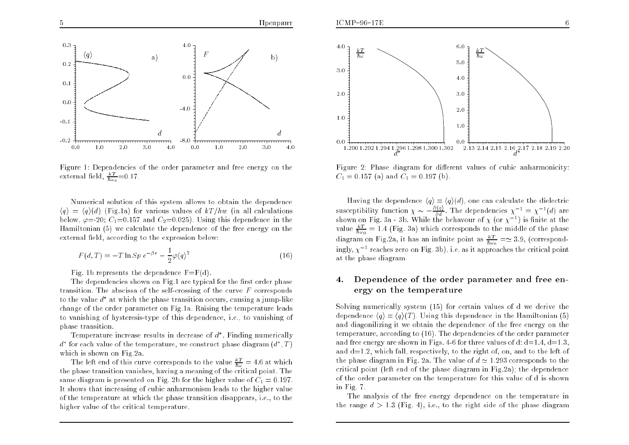

Figure 1: Dependencies of the order parameter and free energy on the external field,  $\frac{kT}{\hbar \omega_0}$ =0.17.

Numerical solution of this system allows to obtain the dependence  $\langle q \rangle = \langle q \rangle (d)$  (Fig.1a) for various values of  $kT/hw$  (in all calculations below,  $\varphi$ =-20;  $C_1$ =0.157 and  $C_2$ =0.025). Using this dependence in the Hamiltonian (5) we calculate the dependence of the free energy on the external field, according to the expression below:

$$
F(d,T) = -T \ln Sp \, e^{-\beta \varepsilon} - \frac{1}{2} \varphi \langle q \rangle^2 \tag{16}
$$

Fig. 1b represents the dependence  $F=$ F $(d)$ .

The dependencies shown on Fig.1 are typical for the first order phase transition. The abscissa of the self-crossing of the curve  $F$  corresponds to the value  $d^*$  at which the phase transition occurs, causing a jump-like change of the order parameter on Fig.1a. Raising the temperature leadsto vanishing of hysteresis-type of this dependence, i.e., to vanishing of phase transition.

Temperature increase results in decrease of  $d^*$ . Finding numerically  $d^*$  for each value of the temperature, we construct phase diagram  $(d^*, T)$ which is shown on Fig.2a.

The left end of this curve corresponds to the value  $\frac{kT}{\hbar\omega} = 4.6$  at which the <sup>p</sup>hase transition vanishes, having <sup>a</sup> meaning of the critical point. Thesame diagram is presented on Fig. 2b for the higher value of  $C_1 = 0.197$ . It shows that increasing of cubic anharmonism leads to the higher value of the temperature at which the phase transition disappears, i.e., to thehigher value of the critical temperature.



Figure 2: Phase diagram for different values of cubic anharmonicity:<br> $C = 0.157$  (e) and  $C = 0.107$  (b)  $C_1 = 0.157$  (a) and  $C_1 = 0.197$  (b).

Having the dependence  $\langle q \rangle = \langle q \rangle(d)$ , one can calculate the dielectric susceptibility function  $\chi \sim -\frac{\partial \langle q \rangle}{\partial d}$ . The dependencies  $\chi^{-1} = \chi^{-1}(d)$  are shown on Fig. 3a - 3b. While the behavour of  $\chi$  (or  $\chi^{-1}$ ) is finite at the value  $\frac{kT}{\hbar\omega_0} = 1.4$  (Fig. 3a) which corresponds to the middle of the phase diagram on Fig.2a, it has an infinite point as  $\frac{kT}{\hbar \omega_0} = \simeq 3.9$ , (correspondingly,  $\chi^{-1}$  reaches zero on Fig. 3b), i.e. as it approaches the critical point at the <sup>p</sup>hase diagram.

### 4. Dependence of the order parameter and free energy on the temperature

Solving numerically system (15) for certain values of d we derive the<br>dependence (5) (5) (5) Using this dependence in the Usmiltonian (5) dependence  $\langle q \rangle = \langle q \rangle(T)$ . Using this dependence in the Hamiltonian (5) and diagonilizing it we obtain the dependence of the free energy on the temperature, according to (16). The dependencies of the order parameterand free energy are shown in Figs. 4-6 for three values of  $d$ :  $d$   $=$   $1.4$ ,  $d$   $=$   $1.3$ , and  $d=1.2$ , which fall, respectively, to the right of, on, and to the left of the phase diagram in Fig. 2a. The value of  $d \simeq 1.293$  corresponds to the critical point (left end of the <sup>p</sup>hase diagram in Fig.2a); the dependence of the order parameter on the temperature for this value of d is shownin Fig. 7.

The analysis of the free energy dependence on the temperature in the range  $d > 1.3$  (Fig. 4), i.e., to the right side of the phase diagram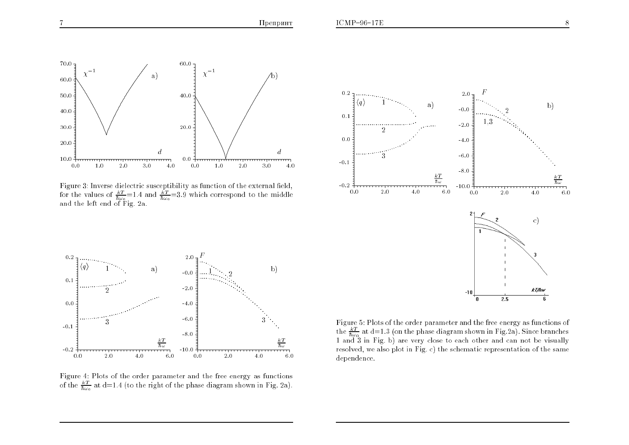

Figure 3: Inverse dielectric susceptibility as function of the external field, for the values of  $\frac{kT}{\hbar\omega_0}$ =1.4 and  $\frac{kT}{\hbar\omega_0}$ =3.9 which correspond to the middle and the left end of Fig. 2a.





Figure 4: Plots of the order parameter and the free energy as functionsof the  $\frac{kT}{\hbar\omega_0}$  at d=1.4 (to the right of the phase diagram shown in Fig. 2a).

Figure 5: Plots of the order parameter and the free energy as functions ofthe  $\frac{kT}{\hbar\omega_0}$  at d=1.3 (on the phase diagram shown in Fig.2a). Since branches<br>1 and 3 in Fig. b) are very close to each other and can not be visually resolved, we also <sup>p</sup>lot in Fig. c) the schematic representation of the samedependence.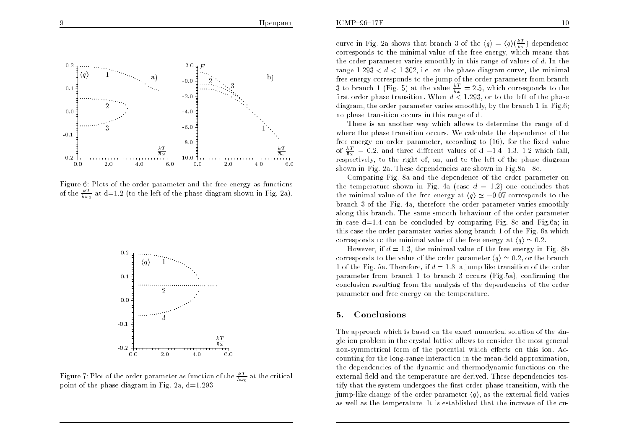

Figure 6: Plots of the order parameter and the free energy as functionsof the  $\frac{kT}{\hbar\omega_0}$  at d=1.2 (to the left of the phase diagram shown in Fig. 2a).



Figure 7: Plot of the order parameter as function of the  $\frac{kT}{\hbar\omega_0}$  at the critical point of the phase diagram in Fig. 2a,  $d=1.293$ .

curve in Fig. 2a shows that branch 3 of the  $\langle q \rangle = \langle q \rangle \frac{kT}{\hbar \omega}$  dependence corresponds to the minimal value of the free energy, which means that the order parameter varies smoothly in this range of values of  $d$ . In the range  $1.293 < d < 1.302$ , i.e. on the phase diagram curve, the minimal free energy corresponds to the jump of the order parameter from branch3 to branch 1 (Fig. 5) at the value  $\frac{kT}{\hbar \omega} = 2.5$ , which corresponds to the first order phase transition. When  $d < 1.293$ , or to the left of the phase diagram, the order parameter varies smoothly, by the branch 1 in Fig.6;no <sup>p</sup>hase transition occurs in this range of d.

There is an another way which allows to determine the range of d where the <sup>p</sup>hase transition occurs. We calculate the dependence of the free energy on order parameter, according to (16), for the fixed value of  $\frac{kT}{\hbar\omega} = 0.2$ , and three different values of  $d = 1.4, 1.3, 1.2$  which fall, respectively, to the right of, on, and to the left of the <sup>p</sup>hase diagramshown in Fig. 2a. These dependencies are shown in Fig.8a - 8c.

Comparing Fig. 8a and the dependence of the order parameter on the temperature shown in Fig. 4a (case  $d = 1.2$ ) one concludes that the minimal value of the free energy at  $\langle q \rangle \simeq -0.07$  corresponds to the branch 3 of the Fig. 4a, therefore the order parameter varies smoothly along this branch. The same smooth behaviour of the order parameter in case  $d=1.4$  can be concluded by comparing Fig. 8c and Fig.6a; in this case the order paramater varies along branch 1 of the Fig. 6a whichcorresponds to the minimal value of the free energy at  $\langle q \rangle \simeq 0.2$ .

However, if  $d = 1.3$ , the minimal value of the free energy in Fig. 8b corresponds to the value of the order parameter  $\langle q \rangle \simeq 0.2$ , or the branch 1 of the Fig. 5a. Therefore, if  $d = 1.3$ , a jump like transition of the order parameter from branch 1 to branch 3 occurs (Fig.5a), confirming the<br>conclusion resulting from the anglysis of the dapardancies of the order conclusion resulting from the analysis of the dependencies of the order parameter and free energy on the temperature.

#### 5.Conclusions

The approach which is based on the exact numerical solution of the single ion problem in the crystal lattice allows to consider the most generalnon-symmetrical form of the potential which effects on this ion. Ac-<br>counting for the larg range interaction in the mean field approximation counting for the long-range interaction in the mean-field approximation, the dependencies of the dynamic and thermodynamic functions on the external field and the temperature are derived. These dependencies testify that the system undergoes the first order phase transition, with the jump-like change of the order parameter  $\langle q \rangle,$  as the external field varies as well as the temperature. It is established that the increase of the cu-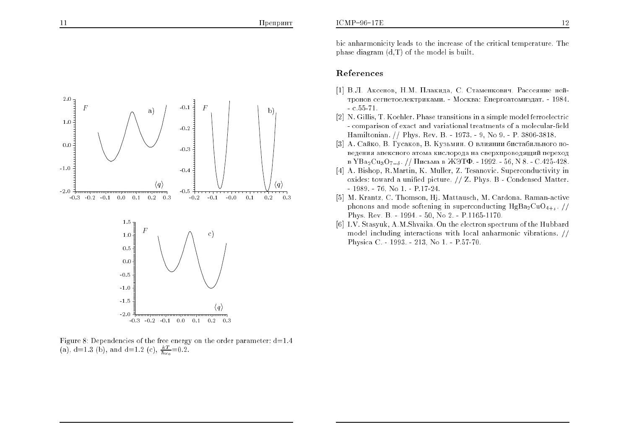## References

- [1] В.Л. Аксенов, Н.М. Плакида, С. Стаменкович. Рассеяние нейтронов сегнетоелектриками. - Москва: Енергоатомиздат. - 1984.  $-$  c.55-71.
- [2] N. Gillis, T. Koehler. Phase transitions in <sup>a</sup> simple model ferroelectric- comparison of exact and variational treatments of a molecular-field Hamiltonian. // Phys. Rev. B. - 1973. - 9, No 9. - P. 3806-3818.
- [3] А. Сайко, В. Гусаков, В. Кузьмин. О влиянии бистабильного поведения апексного атома кислорода на сверхпроводящий переход в  $YBa_2Cu_3O_{7-\delta}$ . // Письма в ЖЭТФ. - 1992. - 56, N 8. - С.425-428.
- [4] A. Bishop, R.Martin, K. Muller, Z. Tesanovic. Superconductivity in oxides: toward <sup>a</sup> unied <sup>p</sup>icture. // Z. Phys. <sup>B</sup> - Condensed Matter.- 1989. - 76, No 1. - P.17-24.
- [5] M. Krantz, C. Thomson, Hj. Mattausch, M. Cardona. Raman-activephonons and mode softening in superconducting  $HgBa_2CuO_{4+\delta}$ . // Phys. Rev. B. - 1994. - 50, No 2. - P.1165-1170.
- [6] I.V. Stasyuk, A.M.Shvaika. On the electron spectrum of the Hubbard model including interactions with local anharmonic vibrations. // Physica C. - 1993. - 213, No 1. - P.57-70.



Figure 8: Dependencies of the free energy on the order parameter:  $d=1.4$ (a), d=1.3 (b), and d=1.2 (c),  $\frac{kT}{\hbar\omega_0}$  =0.2.